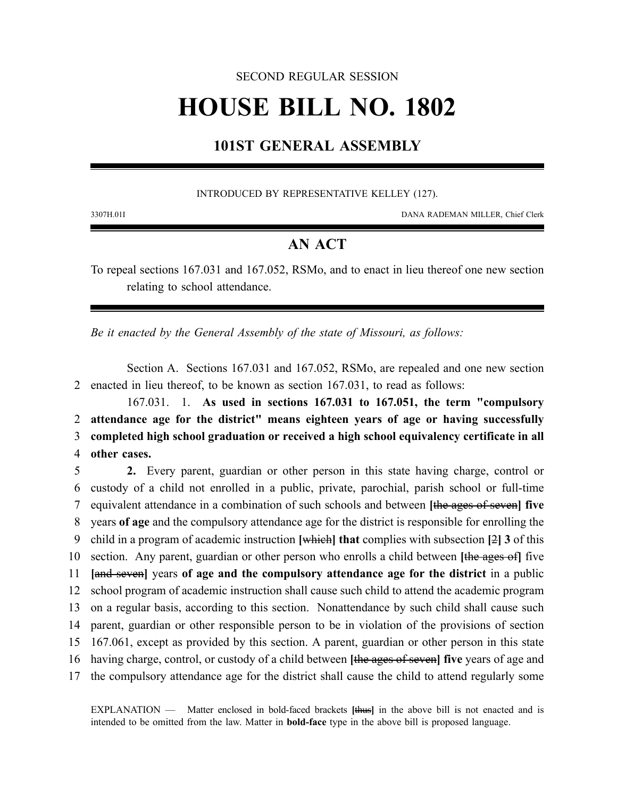### SECOND REGULAR SESSION

# **HOUSE BILL NO. 1802**

## **101ST GENERAL ASSEMBLY**

### INTRODUCED BY REPRESENTATIVE KELLEY (127).

3307H.01I DANA RADEMAN MILLER, Chief Clerk

## **AN ACT**

To repeal sections 167.031 and 167.052, RSMo, and to enact in lieu thereof one new section relating to school attendance.

*Be it enacted by the General Assembly of the state of Missouri, as follows:*

Section A. Sections 167.031 and 167.052, RSMo, are repealed and one new section 2 enacted in lieu thereof, to be known as section 167.031, to read as follows:

167.031. 1. **As used in sections 167.031 to 167.051, the term "compulsory attendance age for the district" means eighteen years of age or having successfully completed high school graduation or received a high school equivalency certificate in all other cases.**

 **2.** Every parent, guardian or other person in this state having charge, control or custody of a child not enrolled in a public, private, parochial, parish school or full-time equivalent attendance in a combination of such schools and between **[**the ages of seven**] five** years **of age** and the compulsory attendance age for the district is responsible for enrolling the child in a program of academic instruction **[**which**] that** complies with subsection **[**2**] 3** of this section. Any parent, guardian or other person who enrolls a child between **[**the ages of**]** five **[**and seven**]** years **of age and the compulsory attendance age for the district** in a public school program of academic instruction shall cause such child to attend the academic program on a regular basis, according to this section. Nonattendance by such child shall cause such parent, guardian or other responsible person to be in violation of the provisions of section 167.061, except as provided by this section. A parent, guardian or other person in this state having charge, control, or custody of a child between **[**the ages of seven**] five** years of age and the compulsory attendance age for the district shall cause the child to attend regularly some

EXPLANATION — Matter enclosed in bold-faced brackets **[**thus**]** in the above bill is not enacted and is intended to be omitted from the law. Matter in **bold-face** type in the above bill is proposed language.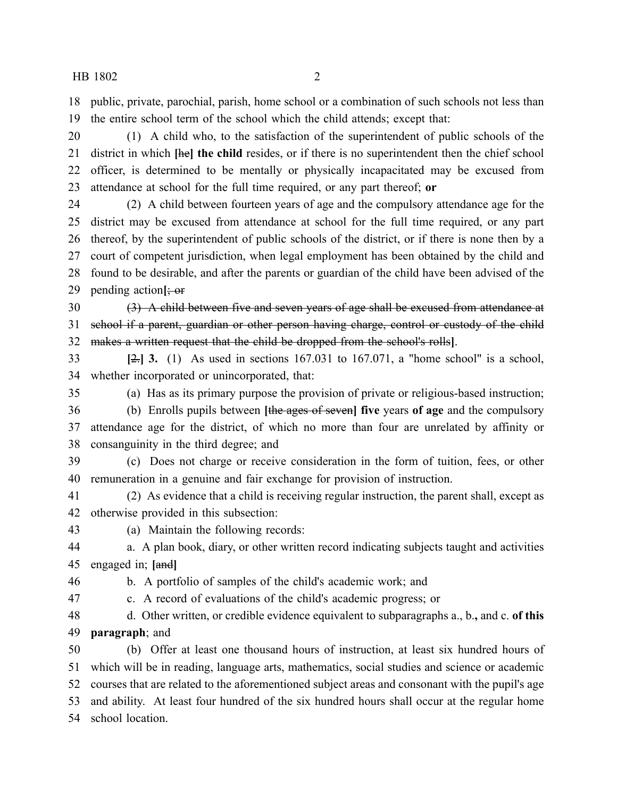#### HB 1802 2

 public, private, parochial, parish, home school or a combination of such schools not less than the entire school term of the school which the child attends; except that:

 (1) A child who, to the satisfaction of the superintendent of public schools of the district in which **[**he**] the child** resides, or if there is no superintendent then the chief school officer, is determined to be mentally or physically incapacitated may be excused from attendance at school for the full time required, or any part thereof; **or**

 (2) A child between fourteen years of age and the compulsory attendance age for the district may be excused from attendance at school for the full time required, or any part thereof, by the superintendent of public schools of the district, or if there is none then by a court of competent jurisdiction, when legal employment has been obtained by the child and found to be desirable, and after the parents or guardian of the child have been advised of the pending action**[**; or

 (3) A child between five and seven years of age shall be excused from attendance at school if a parent, guardian or other person having charge, control or custody of the child makes a written request that the child be dropped from the school's rolls**]**.

 **[**2.**] 3.** (1) As used in sections 167.031 to 167.071, a "home school" is a school, whether incorporated or unincorporated, that:

(a) Has as its primary purpose the provision of private or religious-based instruction;

 (b) Enrolls pupils between **[**the ages of seven**] five** years **of age** and the compulsory attendance age for the district, of which no more than four are unrelated by affinity or consanguinity in the third degree; and

 (c) Does not charge or receive consideration in the form of tuition, fees, or other remuneration in a genuine and fair exchange for provision of instruction.

 (2) As evidence that a child is receiving regular instruction, the parent shall, except as otherwise provided in this subsection:

(a) Maintain the following records:

a. A plan book, diary, or other written record indicating subjects taught and activities

engaged in; **[**and**]**

b. A portfolio of samples of the child's academic work; and

c. A record of evaluations of the child's academic progress; or

 d. Other written, or credible evidence equivalent to subparagraphs a., b.**,** and c. **of this paragraph**; and

 (b) Offer at least one thousand hours of instruction, at least six hundred hours of which will be in reading, language arts, mathematics, social studies and science or academic courses that are related to the aforementioned subject areas and consonant with the pupil's age and ability. At least four hundred of the six hundred hours shall occur at the regular home school location.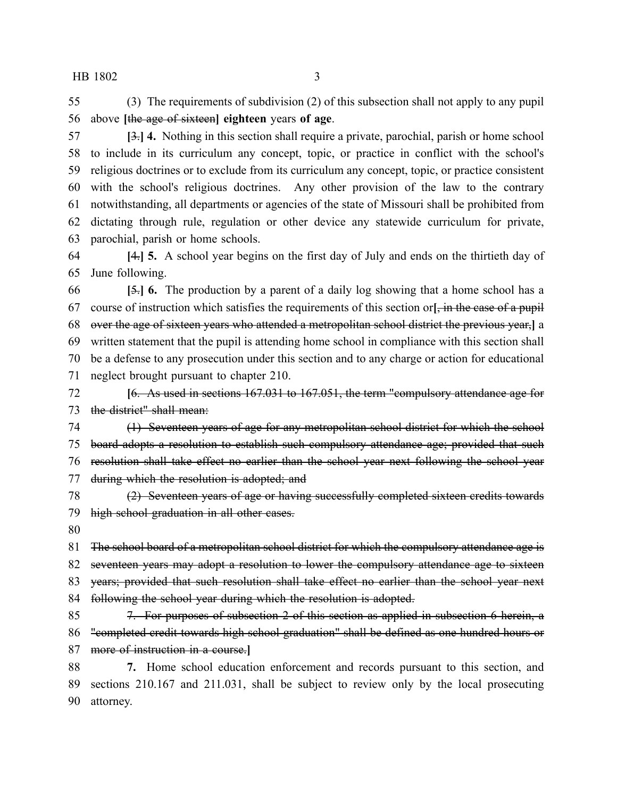HB 1802 3

 (3) The requirements of subdivision (2) of this subsection shall not apply to any pupil above **[**the age of sixteen**] eighteen** years **of age**.

 **[**3.**] 4.** Nothing in this section shall require a private, parochial, parish or home school to include in its curriculum any concept, topic, or practice in conflict with the school's religious doctrines or to exclude from its curriculum any concept, topic, or practice consistent with the school's religious doctrines. Any other provision of the law to the contrary notwithstanding, all departments or agencies of the state of Missouri shall be prohibited from dictating through rule, regulation or other device any statewide curriculum for private, parochial, parish or home schools.

 **[**4.**] 5.** A school year begins on the first day of July and ends on the thirtieth day of June following.

 **[**5.**] 6.** The production by a parent of a daily log showing that a home school has a course of instruction which satisfies the requirements of this section or**[**, in the case of a pupil over the age of sixteen years who attended a metropolitan school district the previous year,**]** a written statement that the pupil is attending home school in compliance with this section shall be a defense to any prosecution under this section and to any charge or action for educational neglect brought pursuant to chapter 210.

 **[**6. As used in sections 167.031 to 167.051, the term "compulsory attendance age for the district" shall mean:

 (1) Seventeen years of age for any metropolitan school district for which the school board adopts a resolution to establish such compulsory attendance age; provided that such resolution shall take effect no earlier than the school year next following the school year during which the resolution is adopted; and

 (2) Seventeen years of age or having successfully completed sixteen credits towards high school graduation in all other cases.

81 The school board of a metropolitan school district for which the compulsory attendance age is 82 seventeen years may adopt a resolution to lower the compulsory attendance age to sixteen 83 years; provided that such resolution shall take effect no earlier than the school year next

84 following the school year during which the resolution is adopted.

 7. For purposes of subsection 2 of this section as applied in subsection 6 herein, a 86 "completed credit towards high school graduation" shall be defined as one hundred hours or more of instruction in a course.**]**

 **7.** Home school education enforcement and records pursuant to this section, and sections 210.167 and 211.031, shall be subject to review only by the local prosecuting attorney.